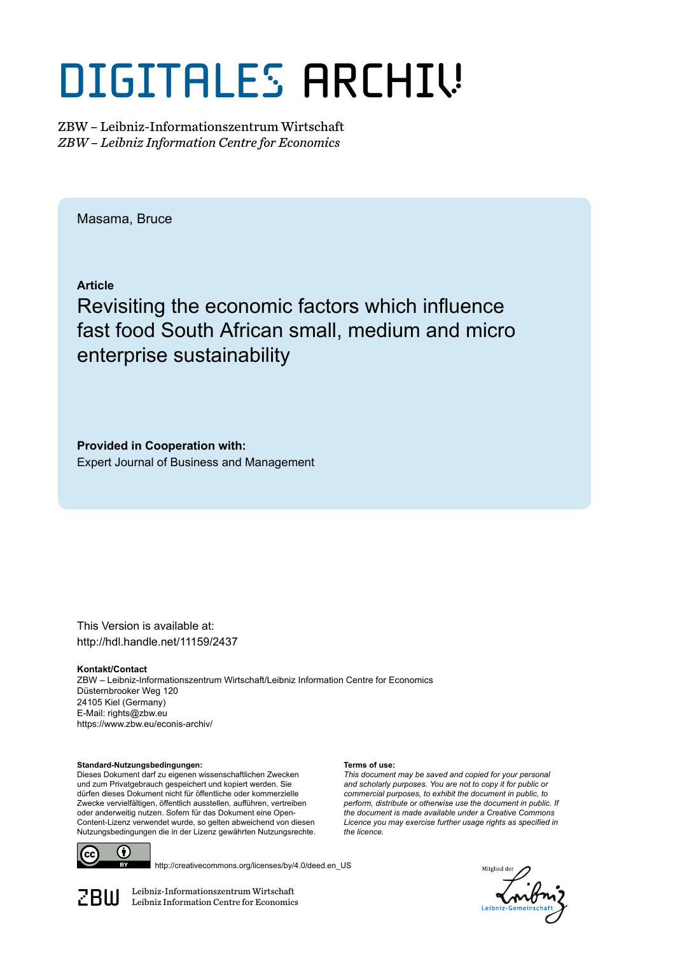# DIGITALES ARCHIV

ZBW – Leibniz-Informationszentrum Wirtschaft *ZBW – Leibniz Information Centre for Economics*

Masama, Bruce

**Article**

Revisiting the economic factors which influence fast food South African small, medium and micro enterprise sustainability

**Provided in Cooperation with:** Expert Journal of Business and Management

This Version is available at: http://hdl.handle.net/11159/2437

**Kontakt/Contact** ZBW – Leibniz-Informationszentrum Wirtschaft/Leibniz Information Centre for Economics Düsternbrooker Weg 120 24105 Kiel (Germany) E-Mail: rights@zbw.eu https://www.zbw.eu/econis-archiv/

**Terms of use:**

*the licence.*

*This document may be saved and copied for your personal and scholarly purposes. You are not to copy it for public or commercial purposes, to exhibit the document in public, to perform, distribute or otherwise use the document in public. If the document is made available under a Creative Commons Licence you may exercise further usage rights as specified in*

**Standard-Nutzungsbedingungen:**

Dieses Dokument darf zu eigenen wissenschaftlichen Zwecken und zum Privatgebrauch gespeichert und kopiert werden. Sie dürfen dieses Dokument nicht für öffentliche oder kommerzielle Zwecke vervielfältigen, öffentlich ausstellen, aufführen, vertreiben oder anderweitig nutzen. Sofern für das Dokument eine Open-Content-Lizenz verwendet wurde, so gelten abweichend von diesen Nutzungsbedingungen die in der Lizenz gewährten Nutzungsrechte.



http://creativecommons.org/licenses/by/4.0/deed.en\_US

ditalier

 $\mathbb{Z} \text{B} \text{U}$  Leibniz-Informationszentrum Wirtschaft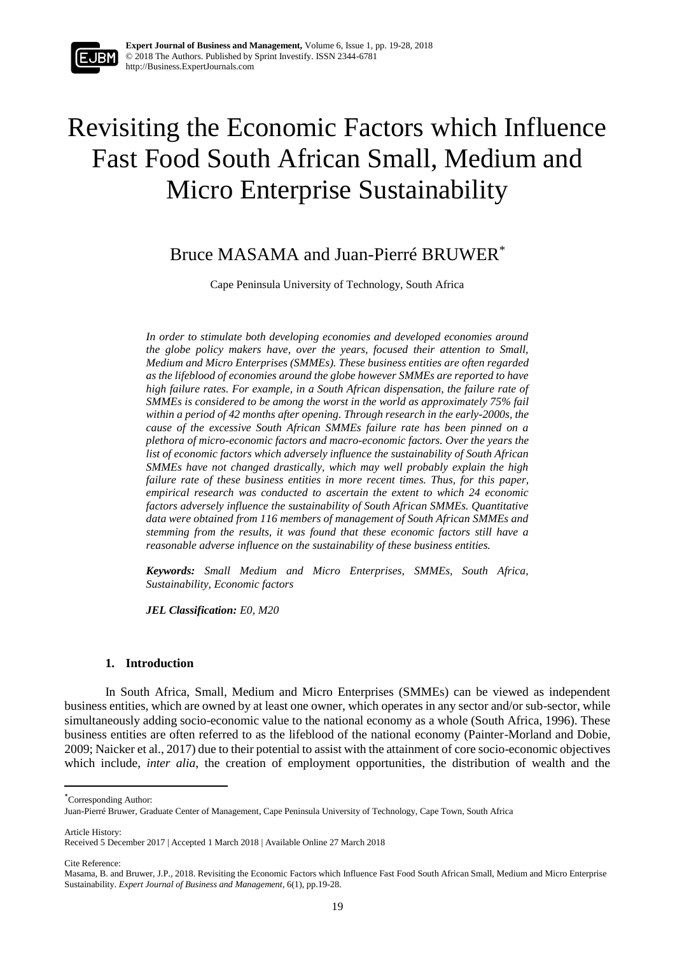

## Revisiting the Economic Factors which Influence Fast Food South African Small, Medium and Micro Enterprise Sustainability

### Bruce MASAMA and Juan-Pierré BRUWER\*

Cape Peninsula University of Technology, South Africa

*In order to stimulate both developing economies and developed economies around the globe policy makers have, over the years, focused their attention to Small, Medium and Micro Enterprises (SMMEs). These business entities are often regarded as the lifeblood of economies around the globe however SMMEs are reported to have high failure rates. For example, in a South African dispensation, the failure rate of SMMEs is considered to be among the worst in the world as approximately 75% fail within a period of 42 months after opening. Through research in the early-2000s, the cause of the excessive South African SMMEs failure rate has been pinned on a plethora of micro-economic factors and macro-economic factors. Over the years the list of economic factors which adversely influence the sustainability of South African SMMEs have not changed drastically, which may well probably explain the high failure rate of these business entities in more recent times. Thus, for this paper, empirical research was conducted to ascertain the extent to which 24 economic factors adversely influence the sustainability of South African SMMEs. Quantitative data were obtained from 116 members of management of South African SMMEs and stemming from the results, it was found that these economic factors still have a reasonable adverse influence on the sustainability of these business entities.*

*Keywords: Small Medium and Micro Enterprises, SMMEs, South Africa, Sustainability, Economic factors*

*JEL Classification: E0, M20*

#### **1. Introduction**

In South Africa, Small, Medium and Micro Enterprises (SMMEs) can be viewed as independent business entities, which are owned by at least one owner, which operates in any sector and/or sub-sector, while simultaneously adding socio-economic value to the national economy as a whole (South Africa, 1996). These business entities are often referred to as the lifeblood of the national economy (Painter-Morland and Dobie, 2009; Naicker et al., 2017) due to their potential to assist with the attainment of core socio-economic objectives which include, *inter alia*, the creation of employment opportunities, the distribution of wealth and the

\*Corresponding Author:

Article History:

 $\overline{a}$ 

Cite Reference:

Juan-Pierré Bruwer, Graduate Center of Management, Cape Peninsula University of Technology, Cape Town, South Africa

Received 5 December 2017 | Accepted 1 March 2018 | Available Online 27 March 2018

Masama, B. and Bruwer, J.P., 2018. Revisiting the Economic Factors which Influence Fast Food South African Small, Medium and Micro Enterprise Sustainability. *Expert Journal of Business and Management*, 6(1), pp.19-28.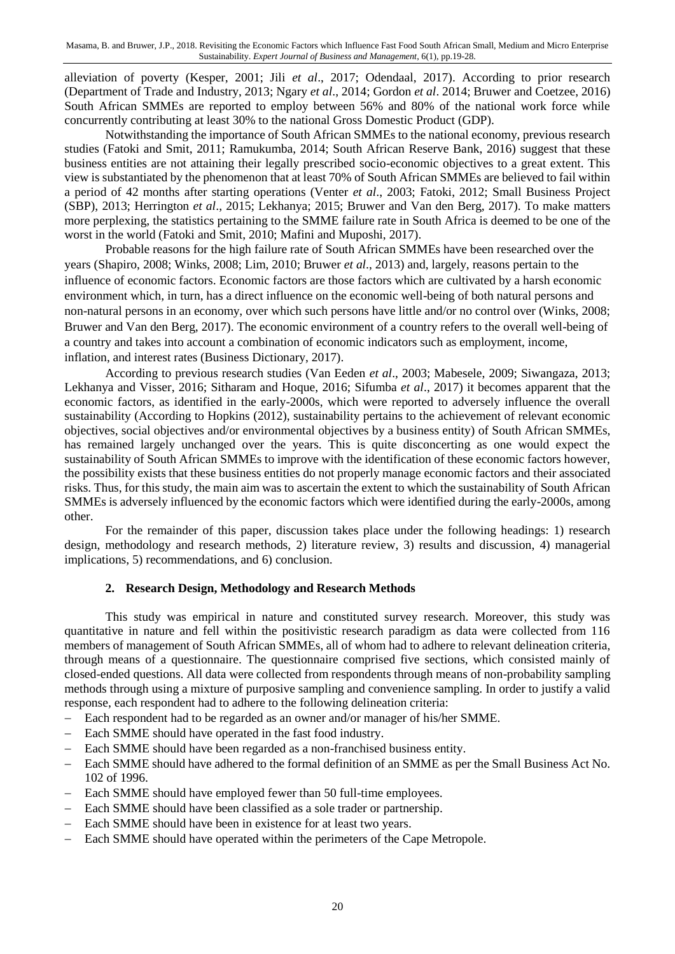alleviation of poverty (Kesper, 2001; Jili *et al*., 2017; Odendaal, 2017). According to prior research (Department of Trade and Industry, 2013; Ngary *et al*., 2014; Gordon *et al*. 2014; Bruwer and Coetzee, 2016) South African SMMEs are reported to employ between 56% and 80% of the national work force while concurrently contributing at least 30% to the national Gross Domestic Product (GDP).

Notwithstanding the importance of South African SMMEs to the national economy, previous research studies (Fatoki and Smit, 2011; Ramukumba, 2014; South African Reserve Bank, 2016) suggest that these business entities are not attaining their legally prescribed socio-economic objectives to a great extent. This view is substantiated by the phenomenon that at least 70% of South African SMMEs are believed to fail within a period of 42 months after starting operations (Venter *et al*., 2003; Fatoki, 2012; Small Business Project (SBP), 2013; Herrington *et al*., 2015; Lekhanya; 2015; Bruwer and Van den Berg, 2017). To make matters more perplexing, the statistics pertaining to the SMME failure rate in South Africa is deemed to be one of the worst in the world (Fatoki and Smit, 2010; Mafini and Muposhi, 2017).

Probable reasons for the high failure rate of South African SMMEs have been researched over the years (Shapiro, 2008; Winks, 2008; Lim, 2010; Bruwer *et al*., 2013) and, largely, reasons pertain to the influence of economic factors. Economic factors are those factors which are cultivated by a harsh economic environment which, in turn, has a direct influence on the economic well-being of both natural persons and non-natural persons in an economy, over which such persons have little and/or no control over (Winks, 2008; Bruwer and Van den Berg, 2017). The economic environment of a country refers to the overall well-being of a country and takes into account a combination of economic indicators such as employment, income, inflation, and interest rates (Business Dictionary, 2017).

According to previous research studies (Van Eeden *et al*., 2003; Mabesele, 2009; Siwangaza, 2013; Lekhanya and Visser, 2016; Sitharam and Hoque, 2016; Sifumba *et al*., 2017) it becomes apparent that the economic factors, as identified in the early-2000s, which were reported to adversely influence the overall sustainability (According to Hopkins (2012), sustainability pertains to the achievement of relevant economic objectives, social objectives and/or environmental objectives by a business entity) of South African SMMEs, has remained largely unchanged over the years. This is quite disconcerting as one would expect the sustainability of South African SMMEs to improve with the identification of these economic factors however, the possibility exists that these business entities do not properly manage economic factors and their associated risks. Thus, for this study, the main aim was to ascertain the extent to which the sustainability of South African SMMEs is adversely influenced by the economic factors which were identified during the early-2000s, among other.

For the remainder of this paper, discussion takes place under the following headings: 1) research design, methodology and research methods, 2) literature review, 3) results and discussion, 4) managerial implications, 5) recommendations, and 6) conclusion.

#### **2. Research Design, Methodology and Research Methods**

This study was empirical in nature and constituted survey research. Moreover, this study was quantitative in nature and fell within the positivistic research paradigm as data were collected from 116 members of management of South African SMMEs, all of whom had to adhere to relevant delineation criteria, through means of a questionnaire. The questionnaire comprised five sections, which consisted mainly of closed-ended questions. All data were collected from respondents through means of non-probability sampling methods through using a mixture of purposive sampling and convenience sampling. In order to justify a valid response, each respondent had to adhere to the following delineation criteria:

- Each respondent had to be regarded as an owner and/or manager of his/her SMME.
- Each SMME should have operated in the fast food industry.
- Each SMME should have been regarded as a non-franchised business entity.
- Each SMME should have adhered to the formal definition of an SMME as per the Small Business Act No. 102 of 1996.
- Each SMME should have employed fewer than 50 full-time employees.
- Each SMME should have been classified as a sole trader or partnership.
- Each SMME should have been in existence for at least two years.
- Each SMME should have operated within the perimeters of the Cape Metropole.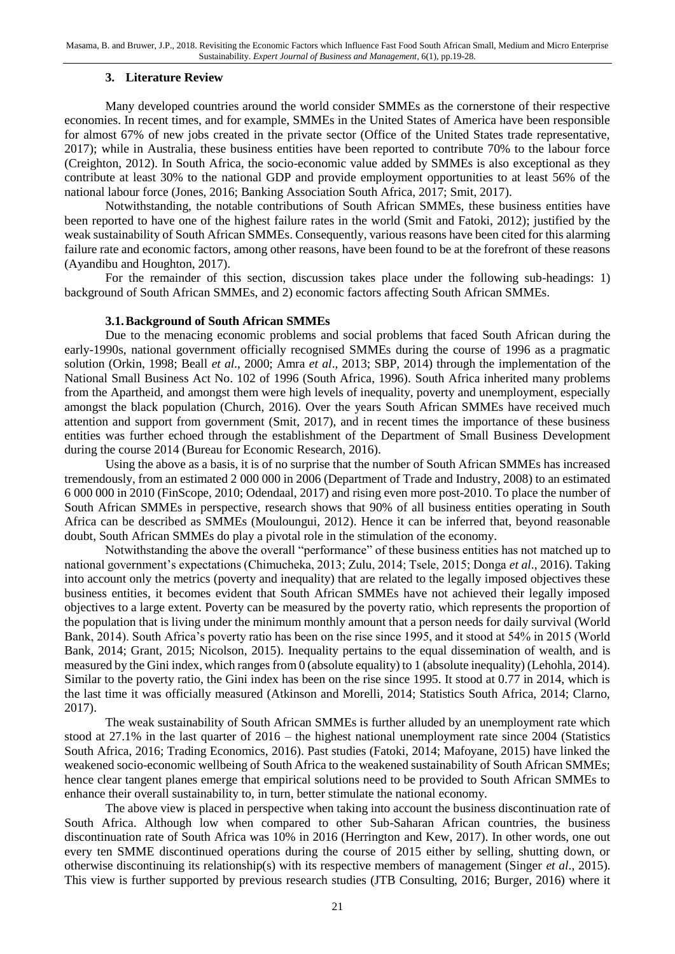#### **3. Literature Review**

Many developed countries around the world consider SMMEs as the cornerstone of their respective economies. In recent times, and for example, SMMEs in the United States of America have been responsible for almost 67% of new jobs created in the private sector (Office of the United States trade representative, 2017); while in Australia, these business entities have been reported to contribute 70% to the labour force (Creighton, 2012). In South Africa, the socio-economic value added by SMMEs is also exceptional as they contribute at least 30% to the national GDP and provide employment opportunities to at least 56% of the national labour force (Jones, 2016; Banking Association South Africa, 2017; Smit, 2017).

Notwithstanding, the notable contributions of South African SMMEs, these business entities have been reported to have one of the highest failure rates in the world (Smit and Fatoki, 2012); justified by the weak sustainability of South African SMMEs. Consequently, various reasons have been cited for this alarming failure rate and economic factors, among other reasons, have been found to be at the forefront of these reasons (Ayandibu and Houghton, 2017).

For the remainder of this section, discussion takes place under the following sub-headings: 1) background of South African SMMEs, and 2) economic factors affecting South African SMMEs.

#### **3.1.Background of South African SMMEs**

Due to the menacing economic problems and social problems that faced South African during the early-1990s, national government officially recognised SMMEs during the course of 1996 as a pragmatic solution (Orkin, 1998; Beall *et al*., 2000; Amra *et al*., 2013; SBP, 2014) through the implementation of the National Small Business Act No. 102 of 1996 (South Africa, 1996). South Africa inherited many problems from the Apartheid, and amongst them were high levels of inequality, poverty and unemployment, especially amongst the black population (Church, 2016). Over the years South African SMMEs have received much attention and support from government (Smit, 2017), and in recent times the importance of these business entities was further echoed through the establishment of the Department of Small Business Development during the course 2014 (Bureau for Economic Research, 2016).

Using the above as a basis, it is of no surprise that the number of South African SMMEs has increased tremendously, from an estimated 2 000 000 in 2006 (Department of Trade and Industry, 2008) to an estimated 6 000 000 in 2010 (FinScope, 2010; Odendaal, 2017) and rising even more post-2010. To place the number of South African SMMEs in perspective, research shows that 90% of all business entities operating in South Africa can be described as SMMEs (Mouloungui, 2012). Hence it can be inferred that, beyond reasonable doubt, South African SMMEs do play a pivotal role in the stimulation of the economy.

Notwithstanding the above the overall "performance" of these business entities has not matched up to national government's expectations (Chimucheka, 2013; Zulu, 2014; Tsele, 2015; Donga *et al*., 2016). Taking into account only the metrics (poverty and inequality) that are related to the legally imposed objectives these business entities, it becomes evident that South African SMMEs have not achieved their legally imposed objectives to a large extent. Poverty can be measured by the poverty ratio, which represents the proportion of the population that is living under the minimum monthly amount that a person needs for daily survival (World Bank, 2014). South Africa's poverty ratio has been on the rise since 1995, and it stood at 54% in 2015 (World Bank, 2014; Grant, 2015; Nicolson, 2015). Inequality pertains to the equal dissemination of wealth, and is measured by the Gini index, which ranges from 0 (absolute equality) to 1 (absolute inequality) (Lehohla, 2014). Similar to the poverty ratio, the Gini index has been on the rise since 1995. It stood at 0.77 in 2014, which is the last time it was officially measured (Atkinson and Morelli, 2014; Statistics South Africa, 2014; Clarno, 2017).

The weak sustainability of South African SMMEs is further alluded by an unemployment rate which stood at 27.1% in the last quarter of 2016 – the highest national unemployment rate since 2004 (Statistics South Africa, 2016; Trading Economics, 2016). Past studies (Fatoki, 2014; Mafoyane, 2015) have linked the weakened socio-economic wellbeing of South Africa to the weakened sustainability of South African SMMEs; hence clear tangent planes emerge that empirical solutions need to be provided to South African SMMEs to enhance their overall sustainability to, in turn, better stimulate the national economy.

The above view is placed in perspective when taking into account the business discontinuation rate of South Africa. Although low when compared to other Sub-Saharan African countries, the business discontinuation rate of South Africa was 10% in 2016 (Herrington and Kew, 2017). In other words, one out every ten SMME discontinued operations during the course of 2015 either by selling, shutting down, or otherwise discontinuing its relationship(s) with its respective members of management (Singer *et al*., 2015). This view is further supported by previous research studies (JTB Consulting, 2016; Burger, 2016) where it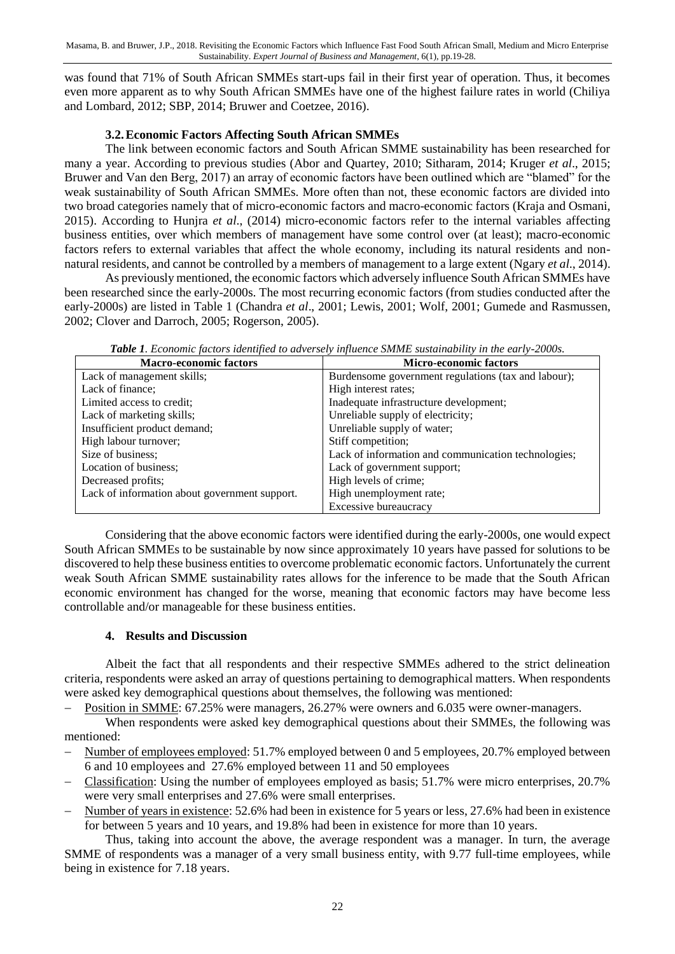was found that 71% of South African SMMEs start-ups fail in their first year of operation. Thus, it becomes even more apparent as to why South African SMMEs have one of the highest failure rates in world (Chiliya and Lombard, 2012; SBP, 2014; Bruwer and Coetzee, 2016).

#### **3.2.Economic Factors Affecting South African SMMEs**

The link between economic factors and South African SMME sustainability has been researched for many a year. According to previous studies (Abor and Quartey, 2010; Sitharam, 2014; Kruger *et al*., 2015; Bruwer and Van den Berg, 2017) an array of economic factors have been outlined which are "blamed" for the weak sustainability of South African SMMEs. More often than not, these economic factors are divided into two broad categories namely that of micro-economic factors and macro-economic factors (Kraja and Osmani, 2015). According to Hunjra *et al*., (2014) micro-economic factors refer to the internal variables affecting business entities, over which members of management have some control over (at least); macro-economic factors refers to external variables that affect the whole economy, including its natural residents and nonnatural residents, and cannot be controlled by a members of management to a large extent (Ngary *et al*., 2014).

As previously mentioned, the economic factors which adversely influence South African SMMEs have been researched since the early-2000s. The most recurring economic factors (from studies conducted after the early-2000s) are listed in Table 1 (Chandra *et al*., 2001; Lewis, 2001; Wolf, 2001; Gumede and Rasmussen, 2002; Clover and Darroch, 2005; Rogerson, 2005).

| <b>Macro-economic factors</b>                 | <b>Micro-economic factors</b>                       |  |  |
|-----------------------------------------------|-----------------------------------------------------|--|--|
| Lack of management skills;                    | Burdensome government regulations (tax and labour); |  |  |
| Lack of finance;                              | High interest rates;                                |  |  |
| Limited access to credit;                     | Inadequate infrastructure development;              |  |  |
| Lack of marketing skills;                     | Unreliable supply of electricity;                   |  |  |
| Insufficient product demand;                  | Unreliable supply of water;                         |  |  |
| High labour turnover;                         | Stiff competition;                                  |  |  |
| Size of business;                             | Lack of information and communication technologies; |  |  |
| Location of business;                         | Lack of government support;                         |  |  |
| Decreased profits;                            | High levels of crime;                               |  |  |
| Lack of information about government support. | High unemployment rate;                             |  |  |
|                                               | Excessive bureaucracy                               |  |  |

*Table 1. Economic factors identified to adversely influence SMME sustainability in the early-2000s.*

Considering that the above economic factors were identified during the early-2000s, one would expect South African SMMEs to be sustainable by now since approximately 10 years have passed for solutions to be discovered to help these business entities to overcome problematic economic factors. Unfortunately the current weak South African SMME sustainability rates allows for the inference to be made that the South African economic environment has changed for the worse, meaning that economic factors may have become less controllable and/or manageable for these business entities.

#### **4. Results and Discussion**

Albeit the fact that all respondents and their respective SMMEs adhered to the strict delineation criteria, respondents were asked an array of questions pertaining to demographical matters. When respondents were asked key demographical questions about themselves, the following was mentioned:

Position in SMME: 67.25% were managers, 26.27% were owners and 6.035 were owner-managers.

When respondents were asked key demographical questions about their SMMEs, the following was mentioned:

- Number of employees employed: 51.7% employed between 0 and 5 employees, 20.7% employed between 6 and 10 employees and 27.6% employed between 11 and 50 employees
- Classification: Using the number of employees employed as basis; 51.7% were micro enterprises, 20.7% were very small enterprises and 27.6% were small enterprises.
- Number of years in existence: 52.6% had been in existence for 5 years or less, 27.6% had been in existence for between 5 years and 10 years, and 19.8% had been in existence for more than 10 years.

Thus, taking into account the above, the average respondent was a manager. In turn, the average SMME of respondents was a manager of a very small business entity, with 9.77 full-time employees, while being in existence for 7.18 years.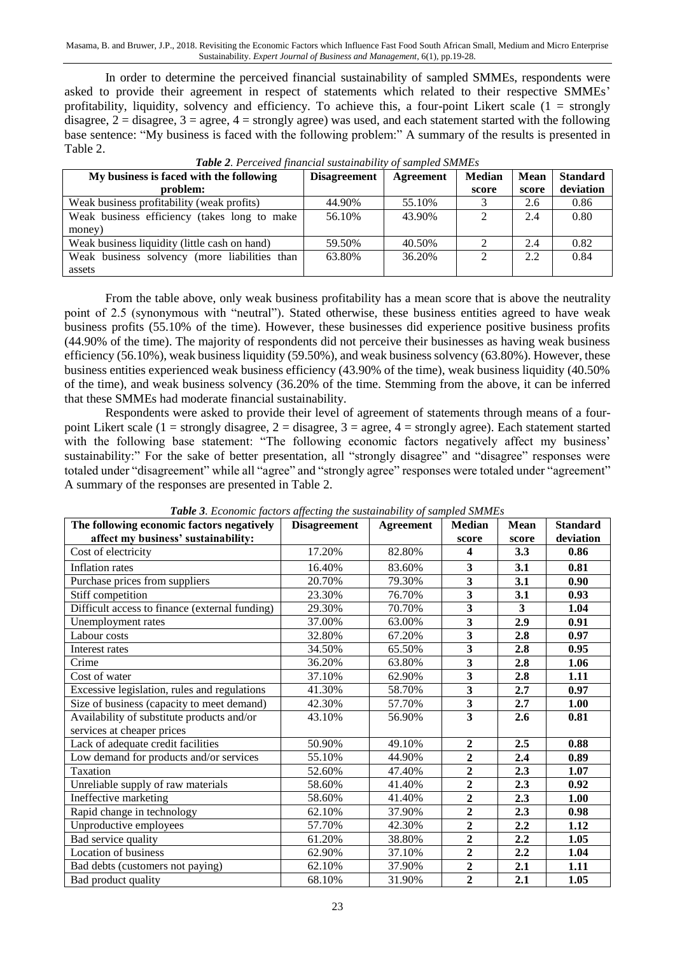Masama, B. and Bruwer, J.P., 2018. Revisiting the Economic Factors which Influence Fast Food South African Small, Medium and Micro Enterprise Sustainability. *Expert Journal of Business and Management*, 6(1), pp.19-28.

In order to determine the perceived financial sustainability of sampled SMMEs, respondents were asked to provide their agreement in respect of statements which related to their respective SMMEs' profitability, liquidity, solvency and efficiency. To achieve this, a four-point Likert scale  $(1 =$  strongly disagree,  $2 =$  disagree,  $3 =$  agree,  $4 =$  strongly agree) was used, and each statement started with the following base sentence: "My business is faced with the following problem:" A summary of the results is presented in Table 2.

| My business is faced with the following       | <b>Disagreement</b> | Agreement | <b>Median</b> | <b>Mean</b> | <b>Standard</b> |
|-----------------------------------------------|---------------------|-----------|---------------|-------------|-----------------|
| problem:                                      |                     |           | score         | score       | deviation       |
| Weak business profitability (weak profits)    | 44.90%              | 55.10%    |               | 2.6         | 0.86            |
| Weak business efficiency (takes long to make  | 56.10%              | 43.90%    | ↑             | 2.4         | 0.80            |
| money)                                        |                     |           |               |             |                 |
| Weak business liquidity (little cash on hand) | 59.50%              | 40.50%    |               | 2.4         | 0.82            |
| Weak business solvency (more liabilities than | 63.80%              | 36.20%    | ↑             | 2.2         | 0.84            |
| assets                                        |                     |           |               |             |                 |

*Table 2. Perceived financial sustainability of sampled SMMEs*

From the table above, only weak business profitability has a mean score that is above the neutrality point of 2.5 (synonymous with "neutral"). Stated otherwise, these business entities agreed to have weak business profits (55.10% of the time). However, these businesses did experience positive business profits (44.90% of the time). The majority of respondents did not perceive their businesses as having weak business efficiency (56.10%), weak business liquidity (59.50%), and weak business solvency (63.80%). However, these business entities experienced weak business efficiency (43.90% of the time), weak business liquidity (40.50% of the time), and weak business solvency (36.20% of the time. Stemming from the above, it can be inferred that these SMMEs had moderate financial sustainability.

Respondents were asked to provide their level of agreement of statements through means of a fourpoint Likert scale (1 = strongly disagree, 2 = disagree, 3 = agree, 4 = strongly agree). Each statement started with the following base statement: "The following economic factors negatively affect my business' sustainability:" For the sake of better presentation, all "strongly disagree" and "disagree" responses were totaled under "disagreement" while all "agree" and "strongly agree" responses were totaled under "agreement" A summary of the responses are presented in Table 2.

| The following economic factors negatively      | <b>Disagreement</b> | <b>Agreement</b> | <b>Median</b>           | <b>Mean</b> | <b>Standard</b> |
|------------------------------------------------|---------------------|------------------|-------------------------|-------------|-----------------|
| affect my business' sustainability:            |                     |                  | score                   | score       | deviation       |
| Cost of electricity                            | 17.20%              | 82.80%           | 4                       | 3.3         | 0.86            |
| <b>Inflation</b> rates                         | 16.40%              | 83.60%           | 3                       | 3.1         | 0.81            |
| Purchase prices from suppliers                 | 20.70%              | 79.30%           | 3                       | 3.1         | 0.90            |
| Stiff competition                              | 23.30%              | 76.70%           | $\overline{\mathbf{3}}$ | 3.1         | 0.93            |
| Difficult access to finance (external funding) | 29.30%              | 70.70%           | 3                       | 3           | 1.04            |
| Unemployment rates                             | 37.00%              | 63.00%           | 3                       | 2.9         | 0.91            |
| Labour costs                                   | 32.80%              | 67.20%           | $\overline{\mathbf{3}}$ | 2.8         | 0.97            |
| Interest rates                                 | 34.50%              | 65.50%           | 3                       | 2.8         | 0.95            |
| Crime                                          | 36.20%              | 63.80%           | $\overline{\mathbf{3}}$ | 2.8         | 1.06            |
| Cost of water                                  | 37.10%              | 62.90%           | 3                       | 2.8         | 1.11            |
| Excessive legislation, rules and regulations   | 41.30%              | 58.70%           | 3                       | 2.7         | 0.97            |
| Size of business (capacity to meet demand)     | 42.30%              | 57.70%           | 3                       | 2.7         | 1.00            |
| Availability of substitute products and/or     | 43.10%              | 56.90%           | 3                       | 2.6         | 0.81            |
| services at cheaper prices                     |                     |                  |                         |             |                 |
| Lack of adequate credit facilities             | 50.90%              | 49.10%           | $\overline{2}$          | 2.5         | 0.88            |
| Low demand for products and/or services        | 55.10%              | 44.90%           | $\overline{2}$          | 2.4         | 0.89            |
| Taxation                                       | 52.60%              | 47.40%           | $\overline{2}$          | 2.3         | 1.07            |
| Unreliable supply of raw materials             | 58.60%              | 41.40%           | $\overline{2}$          | 2.3         | 0.92            |
| Ineffective marketing                          | 58.60%              | 41.40%           | $\overline{2}$          | 2.3         | 1.00            |
| Rapid change in technology                     | 62.10%              | 37.90%           | $\overline{2}$          | 2.3         | 0.98            |
| Unproductive employees                         | 57.70%              | 42.30%           | $\overline{2}$          | 2.2         | 1.12            |
| Bad service quality                            | 61.20%              | 38.80%           | $\overline{2}$          | 2.2         | 1.05            |
| <b>Location of business</b>                    | 62.90%              | 37.10%           | $\overline{2}$          | 2.2         | 1.04            |
| Bad debts (customers not paying)               | 62.10%              | 37.90%           | $\overline{2}$          | 2.1         | 1.11            |
| Bad product quality                            | 68.10%              | 31.90%           | $\overline{2}$          | 2.1         | 1.05            |

*Table 3. Economic factors affecting the sustainability of sampled SMMEs*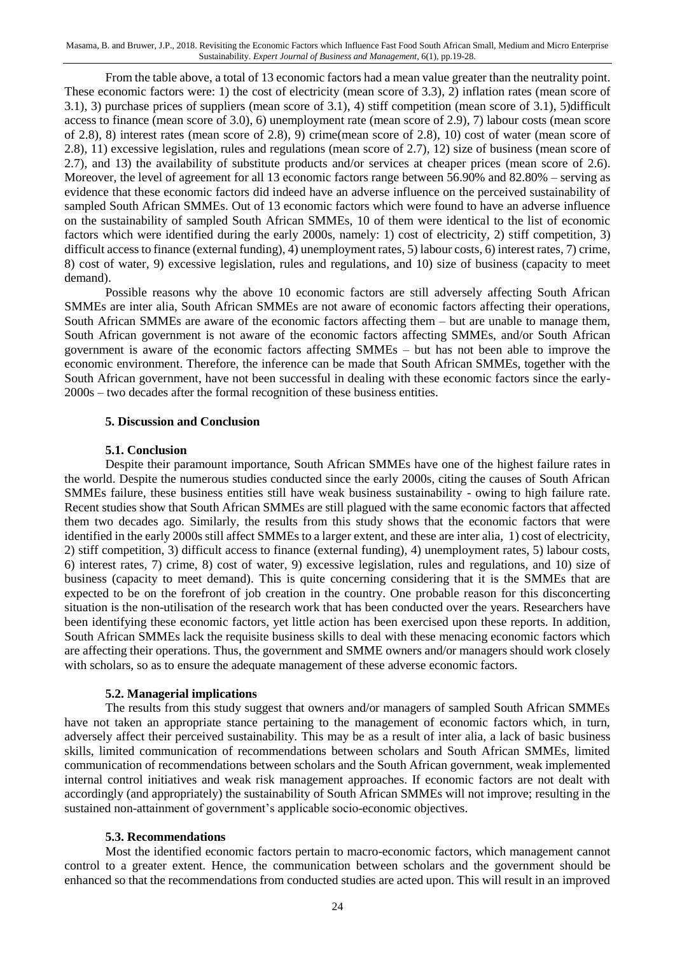From the table above, a total of 13 economic factors had a mean value greater than the neutrality point. These economic factors were: 1) the cost of electricity (mean score of 3.3), 2) inflation rates (mean score of 3.1), 3) purchase prices of suppliers (mean score of 3.1), 4) stiff competition (mean score of 3.1), 5)difficult access to finance (mean score of 3.0), 6) unemployment rate (mean score of 2.9), 7) labour costs (mean score of 2.8), 8) interest rates (mean score of 2.8), 9) crime(mean score of 2.8), 10) cost of water (mean score of 2.8), 11) excessive legislation, rules and regulations (mean score of 2.7), 12) size of business (mean score of 2.7), and 13) the availability of substitute products and/or services at cheaper prices (mean score of 2.6). Moreover, the level of agreement for all 13 economic factors range between 56.90% and 82.80% – serving as evidence that these economic factors did indeed have an adverse influence on the perceived sustainability of sampled South African SMMEs. Out of 13 economic factors which were found to have an adverse influence on the sustainability of sampled South African SMMEs, 10 of them were identical to the list of economic factors which were identified during the early 2000s, namely: 1) cost of electricity, 2) stiff competition, 3) difficult access to finance (external funding), 4) unemployment rates, 5) labour costs, 6) interest rates, 7) crime, 8) cost of water, 9) excessive legislation, rules and regulations, and 10) size of business (capacity to meet demand).

Possible reasons why the above 10 economic factors are still adversely affecting South African SMMEs are inter alia, South African SMMEs are not aware of economic factors affecting their operations, South African SMMEs are aware of the economic factors affecting them – but are unable to manage them, South African government is not aware of the economic factors affecting SMMEs, and/or South African government is aware of the economic factors affecting SMMEs – but has not been able to improve the economic environment. Therefore, the inference can be made that South African SMMEs, together with the South African government, have not been successful in dealing with these economic factors since the early-2000s – two decades after the formal recognition of these business entities.

#### **5. Discussion and Conclusion**

#### **5.1. Conclusion**

Despite their paramount importance, South African SMMEs have one of the highest failure rates in the world. Despite the numerous studies conducted since the early 2000s, citing the causes of South African SMMEs failure, these business entities still have weak business sustainability - owing to high failure rate. Recent studies show that South African SMMEs are still plagued with the same economic factors that affected them two decades ago. Similarly, the results from this study shows that the economic factors that were identified in the early 2000s still affect SMMEs to a larger extent, and these are inter alia, 1) cost of electricity, 2) stiff competition, 3) difficult access to finance (external funding), 4) unemployment rates, 5) labour costs, 6) interest rates, 7) crime, 8) cost of water, 9) excessive legislation, rules and regulations, and 10) size of business (capacity to meet demand). This is quite concerning considering that it is the SMMEs that are expected to be on the forefront of job creation in the country. One probable reason for this disconcerting situation is the non-utilisation of the research work that has been conducted over the years. Researchers have been identifying these economic factors, yet little action has been exercised upon these reports. In addition, South African SMMEs lack the requisite business skills to deal with these menacing economic factors which are affecting their operations. Thus, the government and SMME owners and/or managers should work closely with scholars, so as to ensure the adequate management of these adverse economic factors.

#### **5.2. Managerial implications**

The results from this study suggest that owners and/or managers of sampled South African SMMEs have not taken an appropriate stance pertaining to the management of economic factors which, in turn, adversely affect their perceived sustainability. This may be as a result of inter alia, a lack of basic business skills, limited communication of recommendations between scholars and South African SMMEs, limited communication of recommendations between scholars and the South African government, weak implemented internal control initiatives and weak risk management approaches. If economic factors are not dealt with accordingly (and appropriately) the sustainability of South African SMMEs will not improve; resulting in the sustained non-attainment of government's applicable socio-economic objectives.

#### **5.3. Recommendations**

Most the identified economic factors pertain to macro-economic factors, which management cannot control to a greater extent. Hence, the communication between scholars and the government should be enhanced so that the recommendations from conducted studies are acted upon. This will result in an improved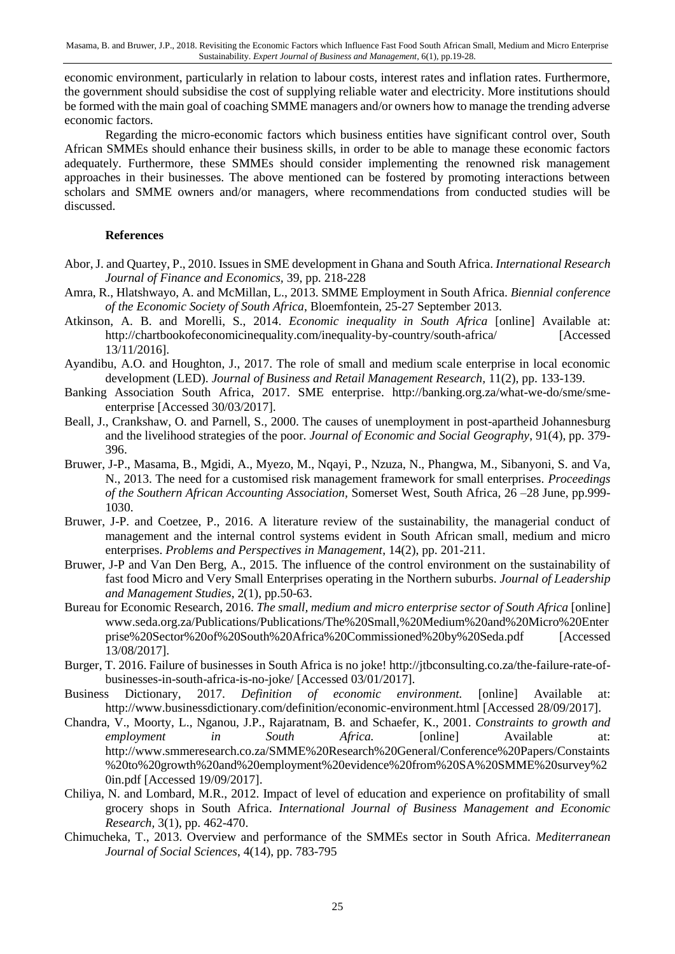economic environment, particularly in relation to labour costs, interest rates and inflation rates. Furthermore, the government should subsidise the cost of supplying reliable water and electricity. More institutions should be formed with the main goal of coaching SMME managers and/or owners how to manage the trending adverse economic factors.

Regarding the micro-economic factors which business entities have significant control over, South African SMMEs should enhance their business skills, in order to be able to manage these economic factors adequately. Furthermore, these SMMEs should consider implementing the renowned risk management approaches in their businesses. The above mentioned can be fostered by promoting interactions between scholars and SMME owners and/or managers, where recommendations from conducted studies will be discussed.

#### **References**

- Abor, J. and Quartey, P., 2010. Issues in SME development in Ghana and South Africa. *International Research Journal of Finance and Economics,* 39, pp. 218-228
- Amra, R., Hlatshwayo, A. and McMillan, L., 2013. SMME Employment in South Africa. *Biennial conference of the Economic Society of South Africa*, Bloemfontein, 25-27 September 2013.
- Atkinson, A. B. and Morelli, S., 2014. *Economic inequality in South Africa* [online] Available at: http://chartbookofeconomicinequality.com/inequality-by-country/south-africa/ [Accessed 13/11/2016].
- Ayandibu, A.O. and Houghton, J., 2017. The role of small and medium scale enterprise in local economic development (LED). *Journal of Business and Retail Management Research,* 11(2), pp. 133-139.
- Banking Association South Africa, 2017. SME enterprise. http://banking.org.za/what-we-do/sme/smeenterprise [Accessed 30/03/2017].
- Beall, J., Crankshaw, O. and Parnell, S., 2000. The causes of unemployment in post-apartheid Johannesburg and the livelihood strategies of the poor. *Journal of Economic and Social Geography*, 91(4), pp. 379- 396.
- Bruwer, J-P., Masama, B., Mgidi, A., Myezo, M., Nqayi, P., Nzuza, N., Phangwa, M., Sibanyoni, S. and Va, N., 2013. The need for a customised risk management framework for small enterprises. *Proceedings of the Southern African Accounting Association,* Somerset West, South Africa, 26 –28 June, pp.999- 1030.
- Bruwer, J-P. and Coetzee, P., 2016. A literature review of the sustainability, the managerial conduct of management and the internal control systems evident in South African small, medium and micro enterprises. *Problems and Perspectives in Management*, 14(2), pp. 201-211.
- Bruwer, J-P and Van Den Berg, A., 2015. The influence of the control environment on the sustainability of fast food Micro and Very Small Enterprises operating in the Northern suburbs. *Journal of Leadership and Management Studies*, 2(1), pp.50-63.
- Bureau for Economic Research, 2016. *The small, medium and micro enterprise sector of South Africa* [online] www.seda.org.za/Publications/Publications/The%20Small,%20Medium%20and%20Micro%20Enter prise%20Sector%20of%20South%20Africa%20Commissioned%20by%20Seda.pdf [Accessed 13/08/2017].
- Burger, T. 2016. Failure of businesses in South Africa is no joke! http://jtbconsulting.co.za/the-failure-rate-ofbusinesses-in-south-africa-is-no-joke/ [Accessed 03/01/2017].
- Business Dictionary, 2017. *Definition of economic environment.* [online] Available at: <http://www.businessdictionary.com/definition/economic-environment.html> [Accessed 28/09/2017].
- Chandra, V., Moorty, L., Nganou, J.P., Rajaratnam, B. and Schaefer, K., 2001. *Constraints to growth and employment in South Africa*. [\[online\] Available at:](http://www.smmeresearch.co.za/SMME%20Research%20General/Conference%20Papers/Constaints%20to%20growth%20and%20employment%20evidence%20from%20SA%20SMME%20survey%20in.pdf) [http://www.smmeresearch.co.za/SMME%20Research%20General/Conference%20Papers/Constaints](http://www.smmeresearch.co.za/SMME%20Research%20General/Conference%20Papers/Constaints%20to%20growth%20and%20employment%20evidence%20from%20SA%20SMME%20survey%20in.pdf) [%20to%20growth%20and%20employment%20evidence%20from%20SA%20SMME%20survey%2](http://www.smmeresearch.co.za/SMME%20Research%20General/Conference%20Papers/Constaints%20to%20growth%20and%20employment%20evidence%20from%20SA%20SMME%20survey%20in.pdf) [0in.pdf](http://www.smmeresearch.co.za/SMME%20Research%20General/Conference%20Papers/Constaints%20to%20growth%20and%20employment%20evidence%20from%20SA%20SMME%20survey%20in.pdf) [Accessed 19/09/2017].
- Chiliya, N. and Lombard, M.R., 2012. Impact of level of education and experience on profitability of small grocery shops in South Africa. *International Journal of Business Management and Economic Research,* 3(1), pp. 462-470.
- Chimucheka, T., 2013. Overview and performance of the SMMEs sector in South Africa. *Mediterranean Journal of Social Sciences*, 4(14), pp. 783-795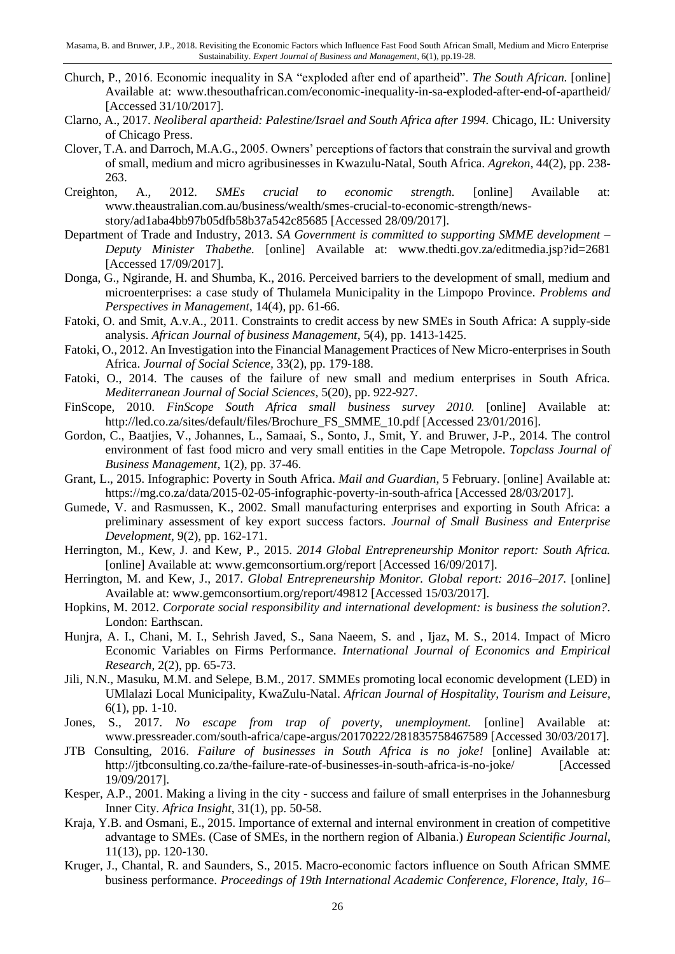- Church, P., 2016. Economic inequality in SA "exploded after end of apartheid". *The South African.* [online] Available at: www.thesouthafrican.com/economic-inequality-in-sa-exploded-after-end-of-apartheid/ [Accessed 31/10/2017].
- Clarno, A., 2017. *Neoliberal apartheid: Palestine/Israel and South Africa after 1994.* Chicago, IL: University of Chicago Press.
- Clover, T.A. and Darroch, M.A.G., 2005. Owners' perceptions of factors that constrain the survival and growth of small, medium and micro agribusinesses in Kwazulu-Natal, South Africa. *Agrekon*, 44(2), pp. 238- 263.
- Creighton, A., 2012*. SMEs crucial to economic strength.* [online] Available at: www.theaustralian.com.au/business/wealth/smes-crucial-to-economic-strength/newsstory/ad1aba4bb97b05dfb58b37a542c85685 [Accessed 28/09/2017].
- Department of Trade and Industry, 2013. *SA Government is committed to supporting SMME development – Deputy Minister Thabethe.* [online] Available at: www.thedti.gov.za/editmedia.jsp?id=2681 [Accessed 17/09/2017].
- Donga, G., Ngirande, H. and Shumba, K., 2016. Perceived barriers to the development of small, medium and microenterprises: a case study of Thulamela Municipality in the Limpopo Province. *Problems and Perspectives in Management,* 14(4), pp. 61-66.
- Fatoki, O. and Smit, A.v.A., 2011. Constraints to credit access by new SMEs in South Africa: A supply-side analysis. *African Journal of business Management*, 5(4), pp. 1413-1425.
- Fatoki, O., 2012. An Investigation into the Financial Management Practices of New Micro-enterprises in South Africa. *Journal of Social Science,* 33(2), pp. 179-188.
- Fatoki, O., 2014. The causes of the failure of new small and medium enterprises in South Africa. *Mediterranean Journal of Social Sciences*, 5(20), pp. 922-927.
- FinScope, 2010. *FinScope South Africa small business survey 2010.* [online] Available at: http://led.co.za/sites/default/files/Brochure\_FS\_SMME\_10.pdf [Accessed 23/01/2016].
- Gordon, C., Baatjies, V., Johannes, L., Samaai, S., Sonto, J., Smit, Y. and Bruwer, J-P., 2014. The control environment of fast food micro and very small entities in the Cape Metropole. *Topclass Journal of Business Management*, 1(2), pp. 37-46.
- Grant, L., 2015. Infographic: Poverty in South Africa. *Mail and Guardian*, 5 February. [online] Available at: <https://mg.co.za/data/2015-02-05-infographic-poverty-in-south-africa> [Accessed 28/03/2017].
- Gumede, V. and Rasmussen, K., 2002. Small manufacturing enterprises and exporting in South Africa: a preliminary assessment of key export success factors. *Journal of Small Business and Enterprise Development*, 9(2), pp. 162-171.
- Herrington, M., Kew, J. and Kew, P., 2015. *2014 Global Entrepreneurship Monitor report: South Africa.* [online] Available at: www.gemconsortium.org/report [Accessed 16/09/2017].
- Herrington, M. and Kew, J., 2017. *Global Entrepreneurship Monitor. Global report: 2016–2017.* [online] Available at: www.gemconsortium.org/report/49812 [Accessed 15/03/2017].
- Hopkins, M. 2012. *Corporate social responsibility and international development: is business the solution?.* London: Earthscan.
- Hunjra, A. I., Chani, M. I., Sehrish Javed, S., Sana Naeem, S. and , Ijaz, M. S., 2014. Impact of Micro Economic Variables on Firms Performance. *International Journal of Economics and Empirical Research*, 2(2), pp. 65-73.
- Jili, N.N., Masuku, M.M. and Selepe, B.M., 2017. SMMEs promoting local economic development (LED) in UMlalazi Local Municipality, KwaZulu-Natal. *African Journal of Hospitality, Tourism and Leisure,* 6(1), pp. 1-10.
- Jones, S., 2017. *No escape from trap of poverty, unemployment.* [online] Available at: www.pressreader.com/south-africa/cape-argus/20170222/281835758467589 [Accessed 30/03/2017].
- JTB Consulting, 2016. *Failure of businesses in South Africa is no joke!* [online] Available at: http://jtbconsulting.co.za/the-failure-rate-of-businesses-in-south-africa-is-no-joke/ [Accessed 19/09/2017].
- Kesper, A.P., 2001. Making a living in the city success and failure of small enterprises in the Johannesburg Inner City. *Africa Insight*, 31(1), pp. 50-58.
- Kraja, Y.B. and Osmani, E., 2015. Importance of external and internal environment in creation of competitive advantage to SMEs. (Case of SMEs, in the northern region of Albania.) *European Scientific Journal*, 11(13), pp. 120-130.
- Kruger, J., Chantal, R. and Saunders, S., 2015. Macro-economic factors influence on South African SMME business performance. *Proceedings of 19th International Academic Conference, Florence, Italy, 16–*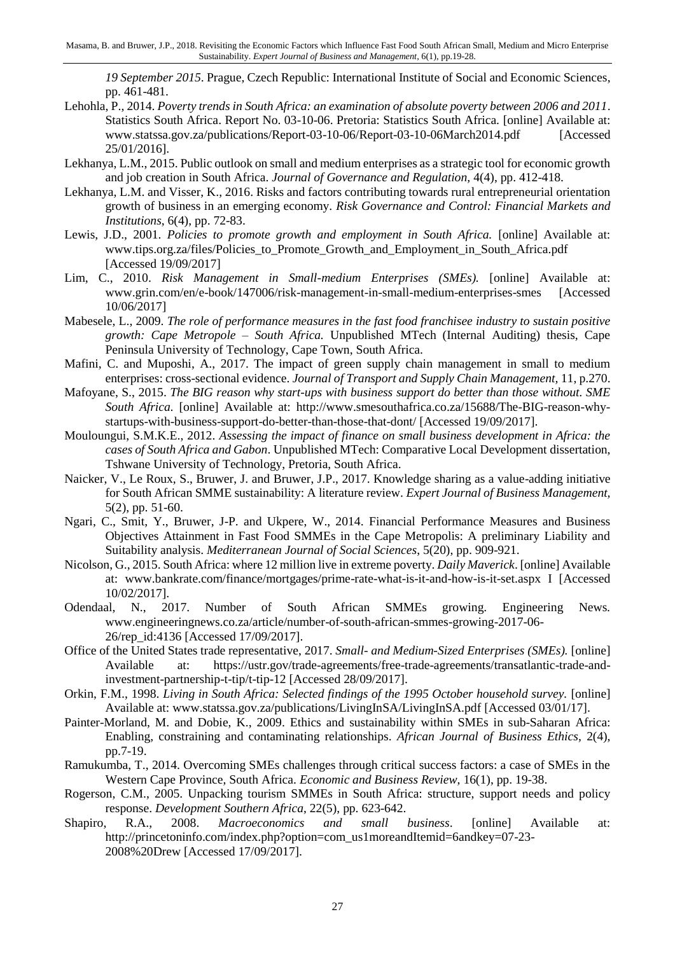*19 September 2015*. Prague, Czech Republic: International Institute of Social and Economic Sciences, pp. 461-481.

- Lehohla, P., 2014. *Poverty trends in South Africa: an examination of absolute poverty between 2006 and 2011*. Statistics South Africa. Report No. 03-10-06. Pretoria: Statistics South Africa. [online] Available at: www.statssa.gov.za/publications/Report-03-10-06/Report-03-10-06March2014.pdf [Accessed 25/01/2016].
- Lekhanya, L.M., 2015. Public outlook on small and medium enterprises as a strategic tool for economic growth and job creation in South Africa. *Journal of Governance and Regulation,* 4(4), pp. 412-418.
- Lekhanya, L.M. and Visser, K., 2016. Risks and factors contributing towards rural entrepreneurial orientation growth of business in an emerging economy. *Risk Governance and Control: Financial Markets and Institutions*, 6(4), pp. 72-83.
- Lewis, J.D., 2001. *Policies to promote growth and employment in South Africa.* [online] Available at: www.tips.org.za/files/Policies to Promote Growth and Employment in South Africa.pdf [Accessed 19/09/2017]
- Lim, C., 2010. *Risk Management in Small-medium Enterprises (SMEs).* [online] Available at: www.grin.com/en/e-book/147006/risk-management-in-small-medium-enterprises-smes [Accessed 10/06/2017]
- Mabesele, L., 2009. *The role of performance measures in the fast food franchisee industry to sustain positive growth: Cape Metropole – South Africa.* Unpublished MTech (Internal Auditing) thesis, Cape Peninsula University of Technology, Cape Town, South Africa.
- Mafini, C. and Muposhi, A., 2017. The impact of green supply chain management in small to medium enterprises: cross-sectional evidence. *Journal of Transport and Supply Chain Management,* 11, p.270.
- Mafoyane, S., 2015. *The BIG reason why start-ups with business support do better than those without. SME South Africa.* [online] Available at: [http://www.smesouthafrica.co.za/15688/The-BIG-reason-why](http://www.smesouthafrica.co.za/15688/The-BIG-reason-why-startups-with-business-support-do-better-than-those-that-dont/)[startups-with-business-support-do-better-than-those-that-dont/](http://www.smesouthafrica.co.za/15688/The-BIG-reason-why-startups-with-business-support-do-better-than-those-that-dont/) [Accessed 19/09/2017].
- Mouloungui, S.M.K.E., 2012. *Assessing the impact of finance on small business development in Africa: the cases of South Africa and Gabon*. Unpublished MTech: Comparative Local Development dissertation, Tshwane University of Technology, Pretoria, South Africa.
- Naicker, V., Le Roux, S., Bruwer, J. and Bruwer, J.P., 2017. Knowledge sharing as a value-adding initiative for South African SMME sustainability: A literature review. *Expert Journal of Business Management,* 5(2), pp. 51-60.
- Ngari, C., Smit, Y., Bruwer, J-P. and Ukpere, W., 2014. Financial Performance Measures and Business Objectives Attainment in Fast Food SMMEs in the Cape Metropolis: A preliminary Liability and Suitability analysis. *Mediterranean Journal of Social Sciences*, 5(20), pp. 909-921.
- Nicolson, G., 2015. South Africa: where 12 million live in extreme poverty. *Daily Maverick*. [online] Available at: www.bankrate.com/finance/mortgages/prime-rate-what-is-it-and-how-is-it-set.aspx I [Accessed 10/02/2017].
- Odendaal, N., 2017. Number of South African SMMEs growing. Engineering News. www.engineeringnews.co.za/article/number-of-south-african-smmes-growing-2017-06- 26/rep\_id:4136 [Accessed 17/09/2017].
- Office of the United States trade representative, 2017. *Small- and Medium-Sized Enterprises (SMEs).* [online] Available at: https://ustr.gov/trade-agreements/free-trade-agreements/transatlantic-trade-andinvestment-partnership-t-tip/t-tip-12 [Accessed 28/09/2017].
- Orkin, F.M., 1998. *Living in South Africa: Selected findings of the 1995 October household survey.* [online] Available at: www.statssa.gov.za/publications/LivingInSA/LivingInSA.pdf [Accessed 03/01/17].
- Painter-Morland, M. and Dobie, K., 2009. Ethics and sustainability within SMEs in sub-Saharan Africa: Enabling, constraining and contaminating relationships. *African Journal of Business Ethics,* 2(4), pp.7-19.
- Ramukumba, T., 2014. Overcoming SMEs challenges through critical success factors: a case of SMEs in the Western Cape Province, South Africa. *Economic and Business Review*, 16(1), pp. 19-38.
- Rogerson, C.M., 2005. Unpacking tourism SMMEs in South Africa: structure, support needs and policy response. *Development Southern Africa*, 22(5), pp. 623-642.
- Shapiro, R.A., 2008. *Macroeconomics and small business*. [online] Available at: http://princetoninfo.com/index.php?option=com\_us1moreandItemid=6andkey=07-23- 2008%20Drew [Accessed 17/09/2017].